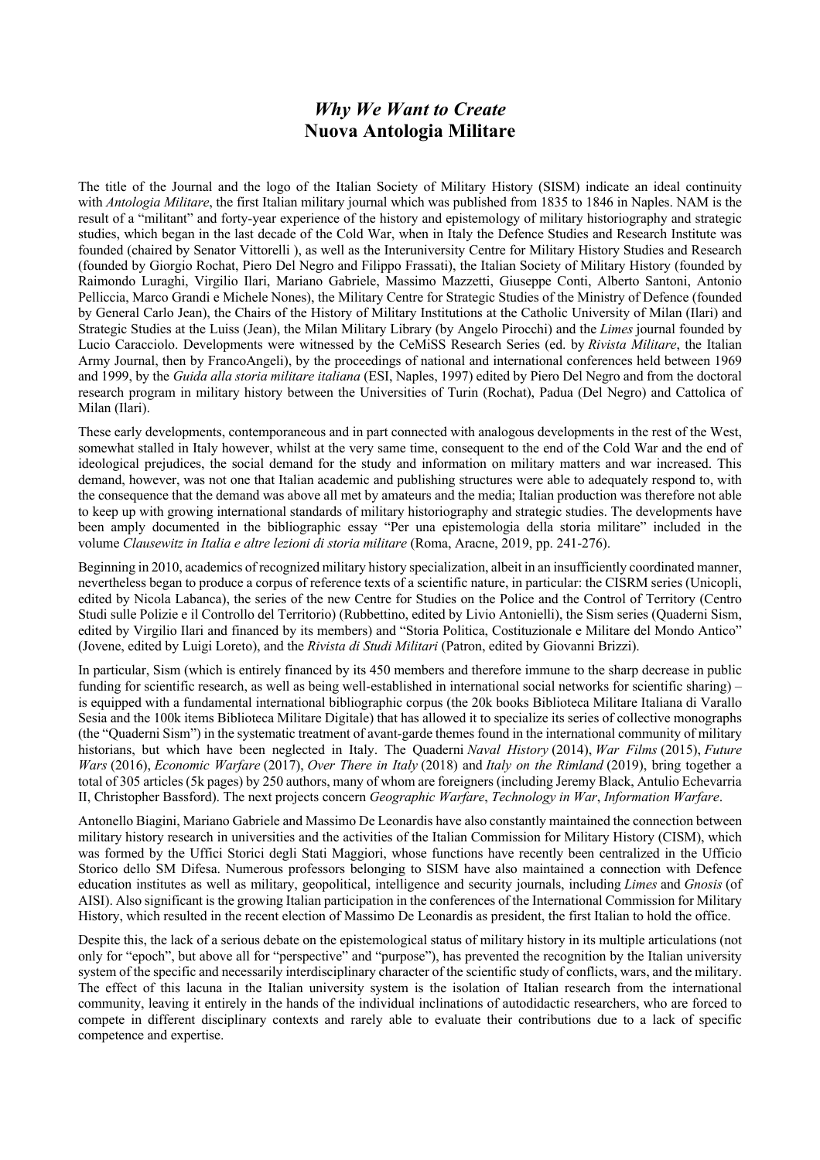## *Why We Want to Create* **Nuova Antologia Militare**

The title of the Journal and the logo of the Italian Society of Military History (SISM) indicate an ideal continuity with *Antologia Militare*, the first Italian military journal which was published from 1835 to 1846 in Naples. NAM is the result of a "militant" and forty-year experience of the history and epistemology of military historiography and strategic studies, which began in the last decade of the Cold War, when in Italy the Defence Studies and Research Institute was founded (chaired by Senator Vittorelli ), as well as the Interuniversity Centre for Military History Studies and Research (founded by Giorgio Rochat, Piero Del Negro and Filippo Frassati), the Italian Society of Military History (founded by Raimondo Luraghi, Virgilio Ilari, Mariano Gabriele, Massimo Mazzetti, Giuseppe Conti, Alberto Santoni, Antonio Pelliccia, Marco Grandi e Michele Nones), the Military Centre for Strategic Studies of the Ministry of Defence (founded by General Carlo Jean), the Chairs of the History of Military Institutions at the Catholic University of Milan (Ilari) and Strategic Studies at the Luiss (Jean), the Milan Military Library (by Angelo Pirocchi) and the *Limes* journal founded by Lucio Caracciolo. Developments were witnessed by the CeMiSS Research Series (ed. by *Rivista Militare*, the Italian Army Journal, then by FrancoAngeli), by the proceedings of national and international conferences held between 1969 and 1999, by the *Guida alla storia militare italiana* (ESI, Naples, 1997) edited by Piero Del Negro and from the doctoral research program in military history between the Universities of Turin (Rochat), Padua (Del Negro) and Cattolica of Milan (Ilari).

These early developments, contemporaneous and in part connected with analogous developments in the rest of the West, somewhat stalled in Italy however, whilst at the very same time, consequent to the end of the Cold War and the end of ideological prejudices, the social demand for the study and information on military matters and war increased. This demand, however, was not one that Italian academic and publishing structures were able to adequately respond to, with the consequence that the demand was above all met by amateurs and the media; Italian production was therefore not able to keep up with growing international standards of military historiography and strategic studies. The developments have been amply documented in the bibliographic essay "Per una epistemologia della storia militare" included in the volume *Clausewitz in Italia e altre lezioni di storia militare* (Roma, Aracne, 2019, pp. 241-276).

Beginning in 2010, academics of recognized military history specialization, albeit in an insufficiently coordinated manner, nevertheless began to produce a corpus of reference texts of a scientific nature, in particular: the CISRM series (Unicopli, edited by Nicola Labanca), the series of the new Centre for Studies on the Police and the Control of Territory (Centro Studi sulle Polizie e il Controllo del Territorio) (Rubbettino, edited by Livio Antonielli), the Sism series (Quaderni Sism, edited by Virgilio Ilari and financed by its members) and "Storia Politica, Costituzionale e Militare del Mondo Antico" (Jovene, edited by Luigi Loreto), and the *Rivista di Studi Militari* (Patron, edited by Giovanni Brizzi).

In particular, Sism (which is entirely financed by its 450 members and therefore immune to the sharp decrease in public funding for scientific research, as well as being well-established in international social networks for scientific sharing) – is equipped with a fundamental international bibliographic corpus (the 20k books Biblioteca Militare Italiana di Varallo Sesia and the 100k items Biblioteca Militare Digitale) that has allowed it to specialize its series of collective monographs (the "Quaderni Sism") in the systematic treatment of avant-garde themes found in the international community of military historians, but which have been neglected in Italy. The Quaderni *Naval History* (2014), *War Films* (2015), *Future Wars* (2016), *Economic Warfare* (2017), *Over There in Italy* (2018) and *Italy on the Rimland* (2019), bring together a total of 305 articles (5k pages) by 250 authors, many of whom are foreigners (including Jeremy Black, Antulio Echevarria II, Christopher Bassford). The next projects concern *Geographic Warfare*, *Technology in War*, *Information Warfare*.

Antonello Biagini, Mariano Gabriele and Massimo De Leonardis have also constantly maintained the connection between military history research in universities and the activities of the Italian Commission for Military History (CISM), which was formed by the Uffici Storici degli Stati Maggiori, whose functions have recently been centralized in the Ufficio Storico dello SM Difesa. Numerous professors belonging to SISM have also maintained a connection with Defence education institutes as well as military, geopolitical, intelligence and security journals, including *Limes* and *Gnosis* (of AISI). Also significant is the growing Italian participation in the conferences of the International Commission for Military History, which resulted in the recent election of Massimo De Leonardis as president, the first Italian to hold the office.

Despite this, the lack of a serious debate on the epistemological status of military history in its multiple articulations (not only for "epoch", but above all for "perspective" and "purpose"), has prevented the recognition by the Italian university system of the specific and necessarily interdisciplinary character of the scientific study of conflicts, wars, and the military. The effect of this lacuna in the Italian university system is the isolation of Italian research from the international community, leaving it entirely in the hands of the individual inclinations of autodidactic researchers, who are forced to compete in different disciplinary contexts and rarely able to evaluate their contributions due to a lack of specific competence and expertise.